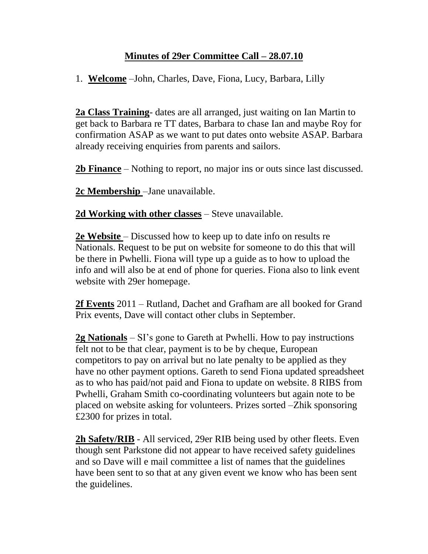## **Minutes of 29er Committee Call – 28.07.10**

1. **Welcome** –John, Charles, Dave, Fiona, Lucy, Barbara, Lilly

**2a Class Training**- dates are all arranged, just waiting on Ian Martin to get back to Barbara re TT dates, Barbara to chase Ian and maybe Roy for confirmation ASAP as we want to put dates onto website ASAP. Barbara already receiving enquiries from parents and sailors.

**2b Finance** – Nothing to report, no major ins or outs since last discussed.

**2c Membership** –Jane unavailable.

**2d Working with other classes** – Steve unavailable.

**2e Website** – Discussed how to keep up to date info on results re Nationals. Request to be put on website for someone to do this that will be there in Pwhelli. Fiona will type up a guide as to how to upload the info and will also be at end of phone for queries. Fiona also to link event website with 29er homepage.

**2f Events** 2011 – Rutland, Dachet and Grafham are all booked for Grand Prix events, Dave will contact other clubs in September.

**2g Nationals** – SI's gone to Gareth at Pwhelli. How to pay instructions felt not to be that clear, payment is to be by cheque, European competitors to pay on arrival but no late penalty to be applied as they have no other payment options. Gareth to send Fiona updated spreadsheet as to who has paid/not paid and Fiona to update on website. 8 RIBS from Pwhelli, Graham Smith co-coordinating volunteers but again note to be placed on website asking for volunteers. Prizes sorted –Zhik sponsoring £2300 for prizes in total.

**2h Safety/RIB** - All serviced, 29er RIB being used by other fleets. Even though sent Parkstone did not appear to have received safety guidelines and so Dave will e mail committee a list of names that the guidelines have been sent to so that at any given event we know who has been sent the guidelines.